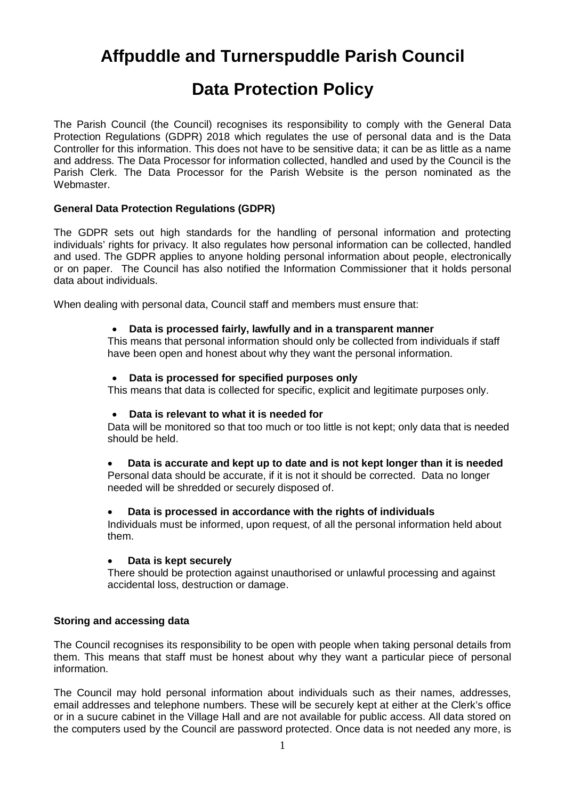# **Affpuddle and Turnerspuddle Parish Council**

# **Data Protection Policy**

The Parish Council (the Council) recognises its responsibility to comply with the General Data Protection Regulations (GDPR) 2018 which regulates the use of personal data and is the Data Controller for this information. This does not have to be sensitive data; it can be as little as a name and address. The Data Processor for information collected, handled and used by the Council is the Parish Clerk. The Data Processor for the Parish Website is the person nominated as the Webmaster.

## **General Data Protection Regulations (GDPR)**

The GDPR sets out high standards for the handling of personal information and protecting individuals' rights for privacy. It also regulates how personal information can be collected, handled and used. The GDPR applies to anyone holding personal information about people, electronically or on paper. The Council has also notified the Information Commissioner that it holds personal data about individuals.

When dealing with personal data, Council staff and members must ensure that:

## **Data is processed fairly, lawfully and in a transparent manner**

This means that personal information should only be collected from individuals if staff have been open and honest about why they want the personal information.

### **Data is processed for specified purposes only**

This means that data is collected for specific, explicit and legitimate purposes only.

#### **Data is relevant to what it is needed for**

Data will be monitored so that too much or too little is not kept; only data that is needed should be held.

#### **Data is accurate and kept up to date and is not kept longer than it is needed**

Personal data should be accurate, if it is not it should be corrected. Data no longer needed will be shredded or securely disposed of.

#### **Data is processed in accordance with the rights of individuals**

Individuals must be informed, upon request, of all the personal information held about them.

#### **Data is kept securely**

There should be protection against unauthorised or unlawful processing and against accidental loss, destruction or damage.

## **Storing and accessing data**

The Council recognises its responsibility to be open with people when taking personal details from them. This means that staff must be honest about why they want a particular piece of personal information.

The Council may hold personal information about individuals such as their names, addresses, email addresses and telephone numbers. These will be securely kept at either at the Clerk's office or in a sucure cabinet in the Village Hall and are not available for public access. All data stored on the computers used by the Council are password protected. Once data is not needed any more, is